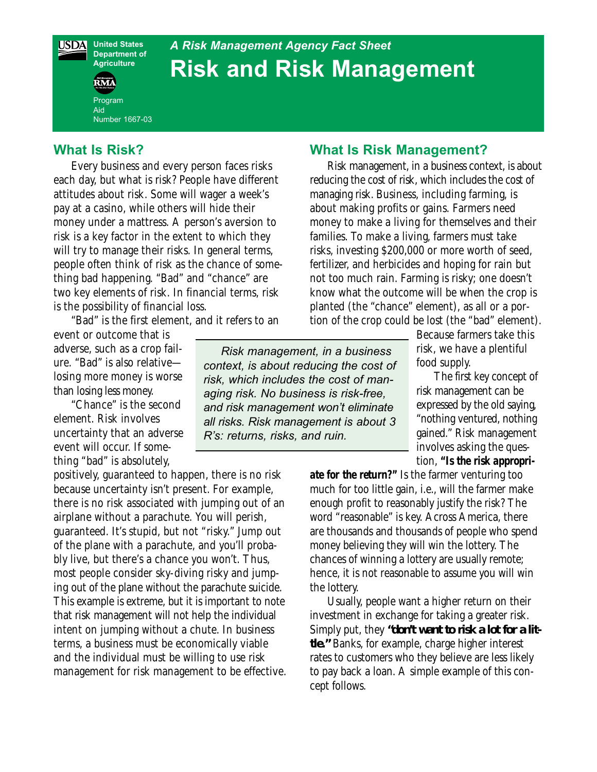

Program Aid

**RMA** 

Number 1667-03

# *A Risk Management Agency Fact Sheet* **Risk and Risk Management**

## **What Is Risk?**

Every business and every person faces risks each day, but what is risk? People have different attitudes about risk. Some will wager a week's pay at a casino, while others will hide their money under a mattress. A person's aversion to risk is a key factor in the extent to which they will try to manage their risks. In general terms, people often think of risk as the chance of something bad happening. "Bad" and "chance" are two key elements of risk. In financial terms, risk is the possibility of financial loss.

"Bad" is the first element, and it refers to an

event or outcome that is adverse, such as a crop failure. "Bad" is also relative losing more money is worse than losing less money.

"Chance" is the second element. Risk involves uncertainty that an adverse event will occur. If something "bad" is absolutely,

positively, guaranteed to happen, there is no risk because uncertainty isn't present. For example, there is no risk associated with jumping out of an airplane without a parachute. You will perish, guaranteed. It's stupid, but not "risky." Jump out of the plane with a parachute, and you'll probably live, but there's a chance you won't. Thus, most people consider sky-diving risky and jumping out of the plane without the parachute suicide. This example is extreme, but it is important to note that risk management will not help the individual intent on jumping without a chute. In business terms, a business must be economically viable and the individual must be willing to use risk management for risk management to be effective.

# **What Is Risk Management?**

Risk management, in a business context, is about reducing the cost of risk, which includes the cost of managing risk. Business, including farming, is about making profits or gains. Farmers need money to make a living for themselves and their families. To make a living, farmers must take risks, investing \$200,000 or more worth of seed, fertilizer, and herbicides and hoping for rain but not too much rain. Farming is risky; one doesn't know what the outcome will be when the crop is planted (the "chance" element), as all or a portion of the crop could be lost (the "bad" element).

> Because farmers take this risk, we have a plentiful food supply.

The first key concept of risk management can be expressed by the old saying, "nothing ventured, nothing gained." Risk management involves asking the question, *"Is the risk appropri-*

*ate for the return?"* Is the farmer venturing too much for too little gain, i.e., will the farmer make enough profit to reasonably justify the risk? The word "reasonable" is key. Across America, there are thousands and thousands of people who spend money believing they will win the lottery. The chances of winning a lottery are usually remote; hence, it is not reasonable to assume you will win the lottery.

Usually, people want a higher return on their investment in exchange for taking a greater risk. Simply put, they **"don't want to risk a lot for a little."** Banks, for example, charge higher interest rates to customers who they believe are less likely to pay back a loan. A simple example of this concept follows.

*Risk management, in a business context, is about reducing the cost of risk, which includes the cost of managing risk. No business is risk-free, and risk management won't eliminate all risks. Risk management is about 3 R's: returns, risks, and ruin.*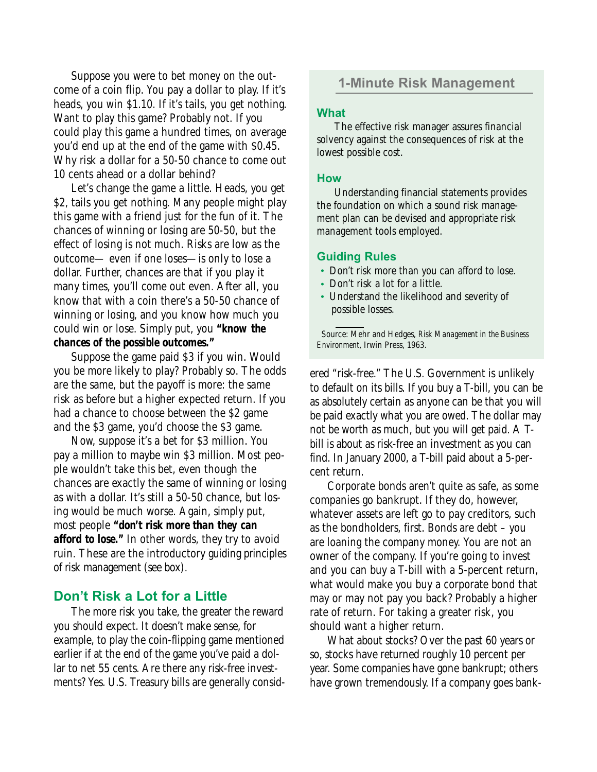Suppose you were to bet money on the outcome of a coin flip. You pay a dollar to play. If it's heads, you win \$1.10. If it's tails, you get nothing. Want to play this game? Probably not. If you could play this game a hundred times, on average you'd end up at the end of the game with \$0.45. Why risk a dollar for a 50-50 chance to come out 10 cents ahead or a dollar behind?

Let's change the game a little. Heads, you get \$2, tails you get nothing. Many people might play this game with a friend just for the fun of it. The chances of winning or losing are 50-50, but the effect of losing is not much. Risks are low as the outcome— even if one loses—is only to lose a dollar. Further, chances are that if you play it many times, you'll come out even. After all, you know that with a coin there's a 50-50 chance of winning or losing, and you know how much you could win or lose. Simply put, you *"know the chances of the possible outcomes."* 

Suppose the game paid \$3 if you win. Would you be more likely to play? Probably so. The odds are the same, but the payoff is more: the same risk as before but a higher expected return. If you had a chance to choose between the \$2 game and the \$3 game, you'd choose the \$3 game.

Now, suppose it's a bet for \$3 million. You pay a million to maybe win \$3 million. Most people wouldn't take this bet, even though the chances are exactly the same of winning or losing as with a dollar. It's still a 50-50 chance, but losing would be much worse. Again, simply put, most people *"don't risk more than they can afford to lose."* In other words, they try to avoid ruin. These are the introductory guiding principles of risk management (see box).

### **Don't Risk a Lot for a Little**

The more risk you take, the greater the reward you should expect. It doesn't make sense, for example, to play the coin-flipping game mentioned earlier if at the end of the game you've paid a dollar to net 55 cents. Are there any risk-free investments? Yes. U.S. Treasury bills are generally consid-

# **1-Minute Risk Management**

#### **What**

The effective risk manager assures financial solvency against the consequences of risk at the lowest possible cost.

#### **How**

Understanding financial statements provides the foundation on which a sound risk management plan can be devised and appropriate risk management tools employed.

#### **Guiding Rules**

- Don't risk more than you can afford to lose.
- Don't risk a lot for a little.
- Understand the likelihood and severity of possible losses.

Source: Mehr and Hedges, *Risk Management in the Business Environment*, Irwin Press, 1963.

ered "risk-free." The U.S. Government is unlikely to default on its bills. If you buy a T-bill, you can be as absolutely certain as anyone can be that you will be paid exactly what you are owed. The dollar may not be worth as much, but you will get paid. A Tbill is about as risk-free an investment as you can find. In January 2000, a T-bill paid about a 5-percent return.

Corporate bonds aren't quite as safe, as some companies go bankrupt. If they do, however, whatever assets are left go to pay creditors, such as the bondholders, first. Bonds are debt – you are loaning the company money. You are not an owner of the company. If you're going to invest and you can buy a T-bill with a 5-percent return, what would make you buy a corporate bond that may or may not pay you back? Probably a higher rate of return. For taking a greater risk, you should want a higher return.

What about stocks? Over the past 60 years or so, stocks have returned roughly 10 percent per year. Some companies have gone bankrupt; others have grown tremendously. If a company goes bank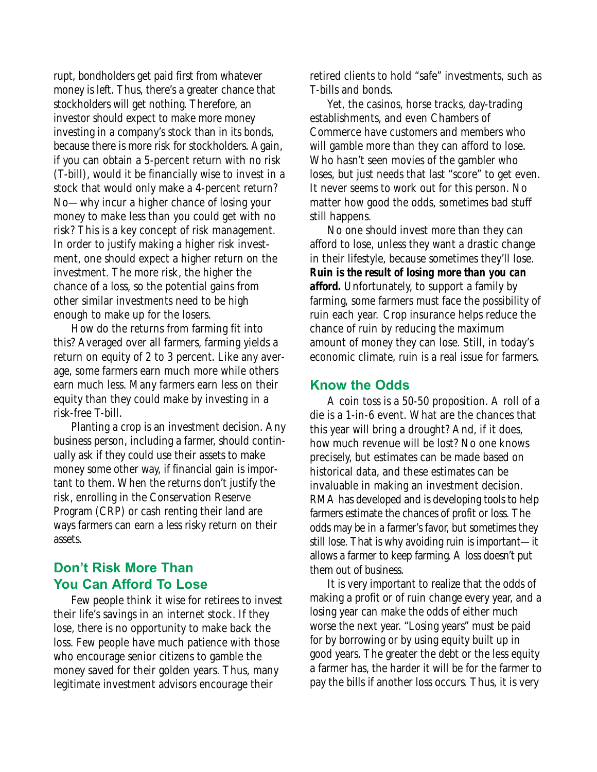rupt, bondholders get paid first from whatever money is left. Thus, there's a greater chance that stockholders will get nothing. Therefore, an investor should expect to make more money investing in a company's stock than in its bonds, because there is more risk for stockholders. Again, if you can obtain a 5-percent return with no risk (T-bill), would it be financially wise to invest in a stock that would only make a 4-percent return? No—why incur a higher chance of losing your money to make less than you could get with no risk? This is a key concept of risk management. In order to justify making a higher risk investment, one should expect a higher return on the investment. The more risk, the higher the chance of a loss, so the potential gains from other similar investments need to be high enough to make up for the losers.

How do the returns from farming fit into this? Averaged over all farmers, farming yields a return on equity of 2 to 3 percent. Like any average, some farmers earn much more while others earn much less. Many farmers earn less on their equity than they could make by investing in a risk-free T-bill.

Planting a crop is an investment decision. Any business person, including a farmer, should continually ask if they could use their assets to make money some other way, if financial gain is important to them. When the returns don't justify the risk, enrolling in the Conservation Reserve Program (CRP) or cash renting their land are ways farmers can earn a less risky return on their assets.

# **Don't Risk More Than You Can Afford To Lose**

Few people think it wise for retirees to invest their life's savings in an internet stock. If they lose, there is no opportunity to make back the loss. Few people have much patience with those who encourage senior citizens to gamble the money saved for their golden years. Thus, many legitimate investment advisors encourage their

retired clients to hold "safe" investments, such as T-bills and bonds.

Yet, the casinos, horse tracks, day-trading establishments, and even Chambers of Commerce have customers and members who will gamble more than they can afford to lose. Who hasn't seen movies of the gambler who loses, but just needs that last "score" to get even. It never seems to work out for this person. No matter how good the odds, sometimes bad stuff still happens.

No one should invest more than they can afford to lose, unless they want a drastic change in their lifestyle, because sometimes they'll lose. *Ruin is the result of losing more than you can afford.* Unfortunately, to support a family by farming, some farmers must face the possibility of ruin each year. Crop insurance helps reduce the chance of ruin by reducing the maximum amount of money they can lose. Still, in today's economic climate, ruin is a real issue for farmers.

### **Know the Odds**

A coin toss is a 50-50 proposition. A roll of a die is a 1-in-6 event. What are the chances that this year will bring a drought? And, if it does, how much revenue will be lost? No one knows precisely, but estimates can be made based on historical data, and these estimates can be invaluable in making an investment decision. RMA has developed and is developing tools to help farmers estimate the chances of profit or loss. The odds may be in a farmer's favor, but sometimes they still lose. That is why avoiding ruin is important—it allows a farmer to keep farming. A loss doesn't put them out of business.

It is very important to realize that the odds of making a profit or of ruin change every year, and a losing year can make the odds of either much worse the next year. "Losing years" must be paid for by borrowing or by using equity built up in good years. The greater the debt or the less equity a farmer has, the harder it will be for the farmer to pay the bills if another loss occurs. Thus, it is very